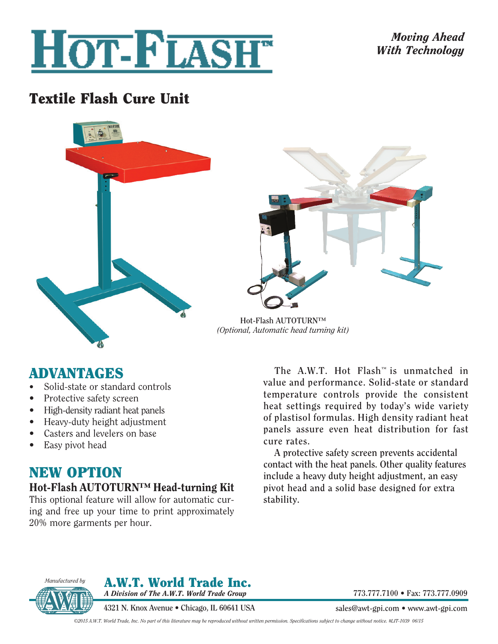

## *Moving Ahead With Technology*

# Textile Flash Cure Unit





**Hot-Flash AUTOTURN™**  *(Optional, Automatic head turning kit)*

## ADVANTAGES

- Solid-state or standard controls
- Protective safety screen
- High-density radiant heat panels
- Heavy-duty height adjustment
- Casters and levelers on base
- Easy pivot head

## NEW OPTION

## Hot-Flash AUTOTURN™ Head-turning Kit

This optional feature will allow for automatic curing and free up your time to print approximately 20% more garments per hour.

**The A.W.T. Hot Flash™ is unmatched in value and performance. Solid-state or standard temperature controls provide the consistent heat settings required by today's wide variety of plastisol formulas. High density radiant heat panels assure even heat distribution for fast cure rates.**

**A protective safety screen prevents accidental contact with the heat panels. Other quality features include a heavy duty height adjustment, an easy pivot head and a solid base designed for extra stability.**



A.W.T. World Trade Inc. *A Division of The A.W.T. World Trade Group*

**4321 N. Knox Avenue • Chicago, IL 60641 USA** 

**773.777.7100 • Fax: 773.777.0909**

**sales@awt-gpi.com • www.awt-gpi.com**

*©2015 A.W.T. World Trade, Inc. No part of this literature may be reproduced without written permission. Specifications subject to change without notice. #LIT-1039 06/15*